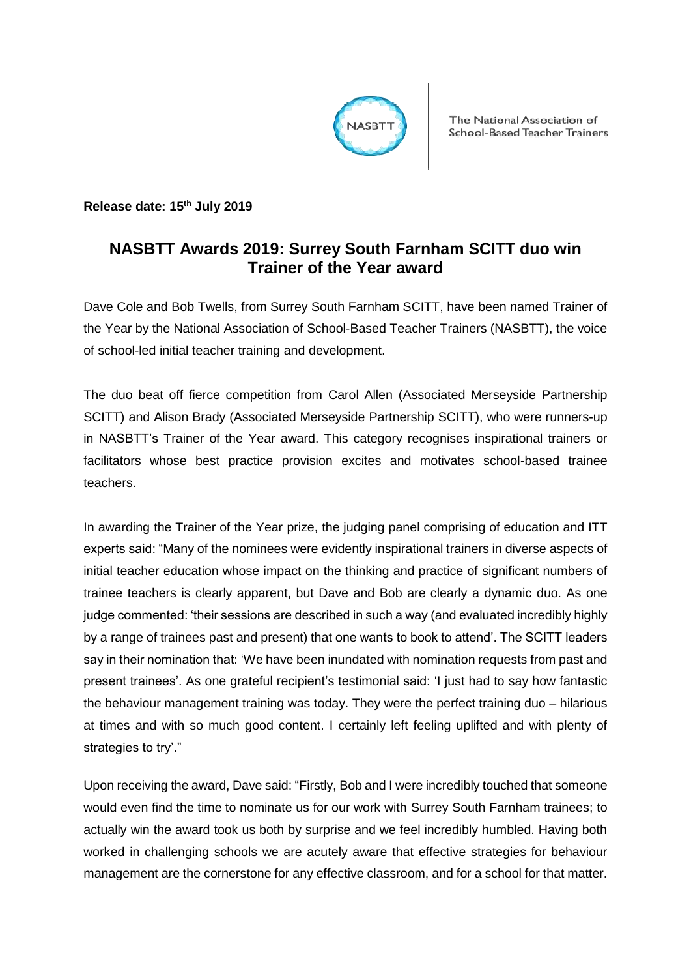

The National Association of School-Based Teacher Trainers

**Release date: 15th July 2019**

## **NASBTT Awards 2019: Surrey South Farnham SCITT duo win Trainer of the Year award**

Dave Cole and Bob Twells, from Surrey South Farnham SCITT, have been named Trainer of the Year by the National Association of School-Based Teacher Trainers (NASBTT), the voice of school-led initial teacher training and development.

The duo beat off fierce competition from Carol Allen (Associated Merseyside Partnership SCITT) and Alison Brady (Associated Merseyside Partnership SCITT), who were runners-up in NASBTT's Trainer of the Year award. This category recognises inspirational trainers or facilitators whose best practice provision excites and motivates school-based trainee teachers.

In awarding the Trainer of the Year prize, the judging panel comprising of education and ITT experts said: "Many of the nominees were evidently inspirational trainers in diverse aspects of initial teacher education whose impact on the thinking and practice of significant numbers of trainee teachers is clearly apparent, but Dave and Bob are clearly a dynamic duo. As one judge commented: 'their sessions are described in such a way (and evaluated incredibly highly by a range of trainees past and present) that one wants to book to attend'. The SCITT leaders say in their nomination that: 'We have been inundated with nomination requests from past and present trainees'. As one grateful recipient's testimonial said: 'I just had to say how fantastic the behaviour management training was today. They were the perfect training duo – hilarious at times and with so much good content. I certainly left feeling uplifted and with plenty of strategies to try'."

Upon receiving the award, Dave said: "Firstly, Bob and I were incredibly touched that someone would even find the time to nominate us for our work with Surrey South Farnham trainees; to actually win the award took us both by surprise and we feel incredibly humbled. Having both worked in challenging schools we are acutely aware that effective strategies for behaviour management are the cornerstone for any effective classroom, and for a school for that matter.